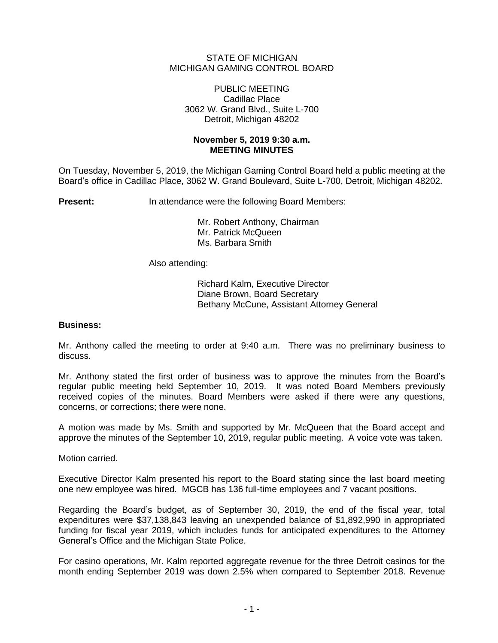# STATE OF MICHIGAN MICHIGAN GAMING CONTROL BOARD

### PUBLIC MEETING Cadillac Place 3062 W. Grand Blvd., Suite L-700 Detroit, Michigan 48202

# **November 5, 2019 9:30 a.m. MEETING MINUTES**

On Tuesday, November 5, 2019, the Michigan Gaming Control Board held a public meeting at the Board's office in Cadillac Place, 3062 W. Grand Boulevard, Suite L-700, Detroit, Michigan 48202.

**Present:** In attendance were the following Board Members:

Mr. Robert Anthony, Chairman Mr. Patrick McQueen

Ms. Barbara Smith

Also attending:

Richard Kalm, Executive Director Diane Brown, Board Secretary Bethany McCune, Assistant Attorney General

### **Business:**

Mr. Anthony called the meeting to order at 9:40 a.m. There was no preliminary business to discuss.

Mr. Anthony stated the first order of business was to approve the minutes from the Board's regular public meeting held September 10, 2019. It was noted Board Members previously received copies of the minutes. Board Members were asked if there were any questions, concerns, or corrections; there were none.

A motion was made by Ms. Smith and supported by Mr. McQueen that the Board accept and approve the minutes of the September 10, 2019, regular public meeting. A voice vote was taken.

Motion carried.

Executive Director Kalm presented his report to the Board stating since the last board meeting one new employee was hired. MGCB has 136 full-time employees and 7 vacant positions.

Regarding the Board's budget, as of September 30, 2019, the end of the fiscal year, total expenditures were \$37,138,843 leaving an unexpended balance of \$1,892,990 in appropriated funding for fiscal year 2019, which includes funds for anticipated expenditures to the Attorney General's Office and the Michigan State Police.

For casino operations, Mr. Kalm reported aggregate revenue for the three Detroit casinos for the month ending September 2019 was down 2.5% when compared to September 2018. Revenue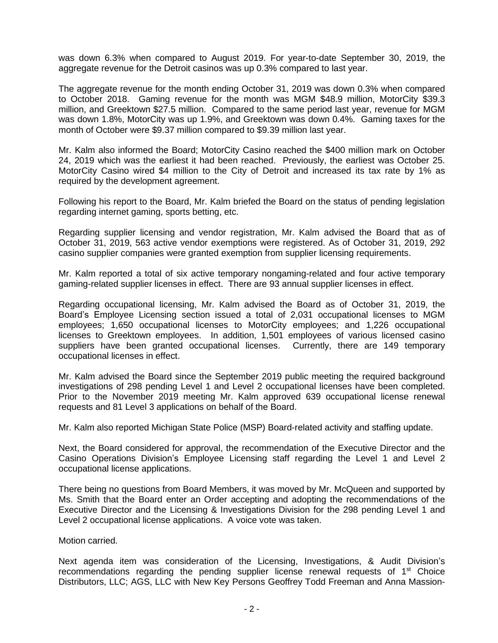was down 6.3% when compared to August 2019. For year-to-date September 30, 2019, the aggregate revenue for the Detroit casinos was up 0.3% compared to last year.

The aggregate revenue for the month ending October 31, 2019 was down 0.3% when compared to October 2018. Gaming revenue for the month was MGM \$48.9 million, MotorCity \$39.3 million, and Greektown \$27.5 million. Compared to the same period last year, revenue for MGM was down 1.8%, MotorCity was up 1.9%, and Greektown was down 0.4%. Gaming taxes for the month of October were \$9.37 million compared to \$9.39 million last year.

Mr. Kalm also informed the Board; MotorCity Casino reached the \$400 million mark on October 24, 2019 which was the earliest it had been reached. Previously, the earliest was October 25. MotorCity Casino wired \$4 million to the City of Detroit and increased its tax rate by 1% as required by the development agreement.

Following his report to the Board, Mr. Kalm briefed the Board on the status of pending legislation regarding internet gaming, sports betting, etc.

Regarding supplier licensing and vendor registration, Mr. Kalm advised the Board that as of October 31, 2019, 563 active vendor exemptions were registered. As of October 31, 2019, 292 casino supplier companies were granted exemption from supplier licensing requirements.

Mr. Kalm reported a total of six active temporary nongaming-related and four active temporary gaming-related supplier licenses in effect. There are 93 annual supplier licenses in effect.

Regarding occupational licensing, Mr. Kalm advised the Board as of October 31, 2019, the Board's Employee Licensing section issued a total of 2,031 occupational licenses to MGM employees; 1,650 occupational licenses to MotorCity employees; and 1,226 occupational licenses to Greektown employees. In addition, 1,501 employees of various licensed casino suppliers have been granted occupational licenses. Currently, there are 149 temporary occupational licenses in effect.

Mr. Kalm advised the Board since the September 2019 public meeting the required background investigations of 298 pending Level 1 and Level 2 occupational licenses have been completed. Prior to the November 2019 meeting Mr. Kalm approved 639 occupational license renewal requests and 81 Level 3 applications on behalf of the Board.

Mr. Kalm also reported Michigan State Police (MSP) Board-related activity and staffing update.

Next, the Board considered for approval, the recommendation of the Executive Director and the Casino Operations Division's Employee Licensing staff regarding the Level 1 and Level 2 occupational license applications.

There being no questions from Board Members, it was moved by Mr. McQueen and supported by Ms. Smith that the Board enter an Order accepting and adopting the recommendations of the Executive Director and the Licensing & Investigations Division for the 298 pending Level 1 and Level 2 occupational license applications. A voice vote was taken.

Motion carried.

Next agenda item was consideration of the Licensing, Investigations, & Audit Division's recommendations regarding the pending supplier license renewal requests of 1<sup>st</sup> Choice Distributors, LLC; AGS, LLC with New Key Persons Geoffrey Todd Freeman and Anna Massion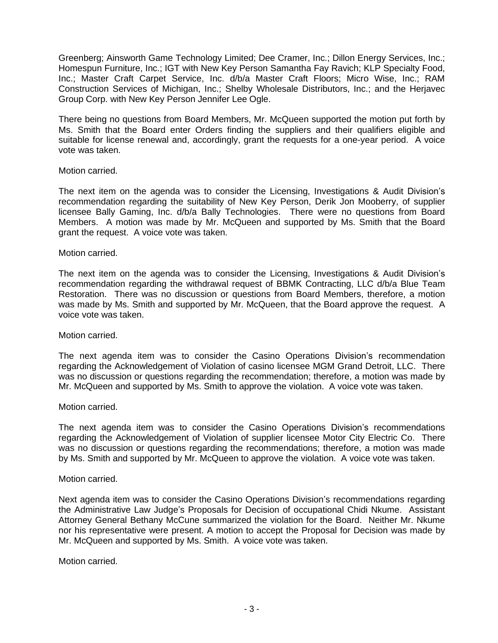Greenberg; Ainsworth Game Technology Limited; Dee Cramer, Inc.; Dillon Energy Services, Inc.; Homespun Furniture, Inc.; IGT with New Key Person Samantha Fay Ravich; KLP Specialty Food, Inc.; Master Craft Carpet Service, Inc. d/b/a Master Craft Floors; Micro Wise, Inc.; RAM Construction Services of Michigan, Inc.; Shelby Wholesale Distributors, Inc.; and the Herjavec Group Corp. with New Key Person Jennifer Lee Ogle.

There being no questions from Board Members, Mr. McQueen supported the motion put forth by Ms. Smith that the Board enter Orders finding the suppliers and their qualifiers eligible and suitable for license renewal and, accordingly, grant the requests for a one-year period. A voice vote was taken.

### Motion carried.

The next item on the agenda was to consider the Licensing, Investigations & Audit Division's recommendation regarding the suitability of New Key Person, Derik Jon Mooberry, of supplier licensee Bally Gaming, Inc. d/b/a Bally Technologies. There were no questions from Board Members. A motion was made by Mr. McQueen and supported by Ms. Smith that the Board grant the request. A voice vote was taken.

# Motion carried.

The next item on the agenda was to consider the Licensing, Investigations & Audit Division's recommendation regarding the withdrawal request of BBMK Contracting, LLC d/b/a Blue Team Restoration. There was no discussion or questions from Board Members, therefore, a motion was made by Ms. Smith and supported by Mr. McQueen, that the Board approve the request. A voice vote was taken.

### Motion carried.

The next agenda item was to consider the Casino Operations Division's recommendation regarding the Acknowledgement of Violation of casino licensee MGM Grand Detroit, LLC. There was no discussion or questions regarding the recommendation; therefore, a motion was made by Mr. McQueen and supported by Ms. Smith to approve the violation. A voice vote was taken.

### Motion carried.

The next agenda item was to consider the Casino Operations Division's recommendations regarding the Acknowledgement of Violation of supplier licensee Motor City Electric Co. There was no discussion or questions regarding the recommendations; therefore, a motion was made by Ms. Smith and supported by Mr. McQueen to approve the violation. A voice vote was taken.

### Motion carried.

Next agenda item was to consider the Casino Operations Division's recommendations regarding the Administrative Law Judge's Proposals for Decision of occupational Chidi Nkume. Assistant Attorney General Bethany McCune summarized the violation for the Board. Neither Mr. Nkume nor his representative were present. A motion to accept the Proposal for Decision was made by Mr. McQueen and supported by Ms. Smith. A voice vote was taken.

### Motion carried.